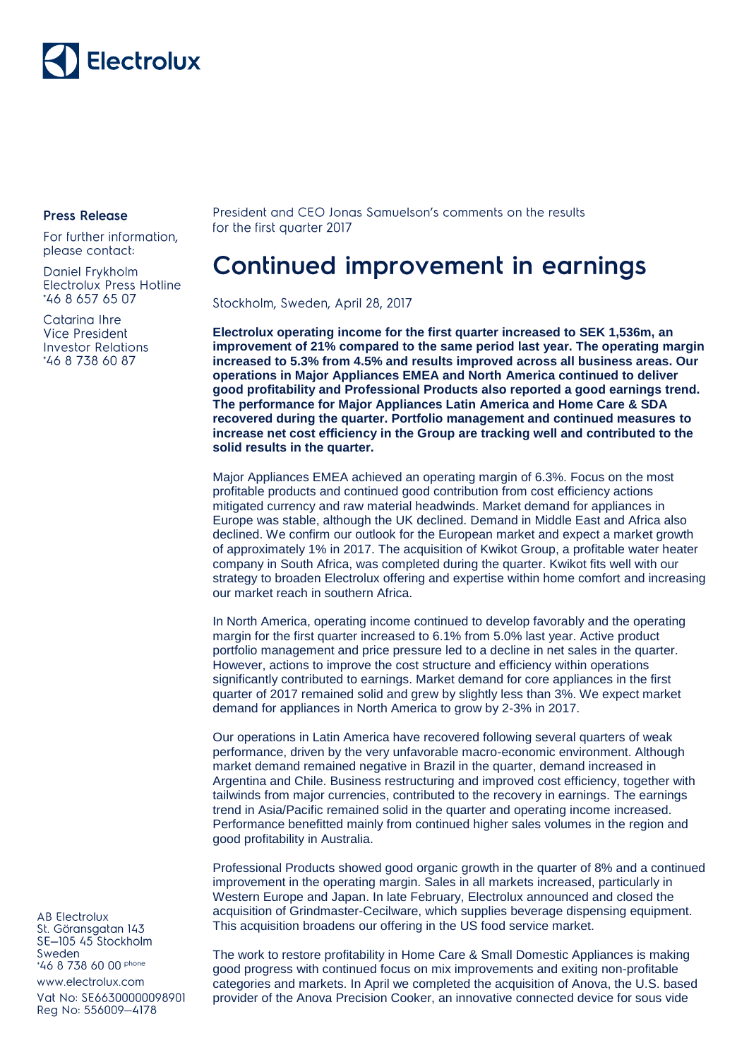

## **Press Release**

For further information, please contact:

Daniel Frykholm Electrolux Press Hotline \*46 8 657 65 07

Catarina Ihre Vice President **Investor Relations** \*46 8 738 60 87

President and CEO Jonas Samuelson's comments on the results for the first quarter 2017

## **Continued improvement in earnings**

Stockholm, Sweden, April 28, 2017

**Electrolux operating income for the first quarter increased to SEK 1,536m, an improvement of 21% compared to the same period last year. The operating margin increased to 5.3% from 4.5% and results improved across all business areas. Our operations in Major Appliances EMEA and North America continued to deliver good profitability and Professional Products also reported a good earnings trend. The performance for Major Appliances Latin America and Home Care & SDA recovered during the quarter. Portfolio management and continued measures to increase net cost efficiency in the Group are tracking well and contributed to the solid results in the quarter.**

Major Appliances EMEA achieved an operating margin of 6.3%. Focus on the most profitable products and continued good contribution from cost efficiency actions mitigated currency and raw material headwinds. Market demand for appliances in Europe was stable, although the UK declined. Demand in Middle East and Africa also declined. We confirm our outlook for the European market and expect a market growth of approximately 1% in 2017. The acquisition of Kwikot Group, a profitable water heater company in South Africa, was completed during the quarter. Kwikot fits well with our strategy to broaden Electrolux offering and expertise within home comfort and increasing our market reach in southern Africa.

In North America, operating income continued to develop favorably and the operating margin for the first quarter increased to 6.1% from 5.0% last year. Active product portfolio management and price pressure led to a decline in net sales in the quarter. However, actions to improve the cost structure and efficiency within operations significantly contributed to earnings. Market demand for core appliances in the first quarter of 2017 remained solid and grew by slightly less than 3%. We expect market demand for appliances in North America to grow by 2-3% in 2017.

Our operations in Latin America have recovered following several quarters of weak performance, driven by the very unfavorable macro-economic environment. Although market demand remained negative in Brazil in the quarter, demand increased in Argentina and Chile. Business restructuring and improved cost efficiency, together with tailwinds from major currencies, contributed to the recovery in earnings. The earnings trend in Asia/Pacific remained solid in the quarter and operating income increased. Performance benefitted mainly from continued higher sales volumes in the region and good profitability in Australia.

Professional Products showed good organic growth in the quarter of 8% and a continued improvement in the operating margin. Sales in all markets increased, particularly in Western Europe and Japan. In late February, Electrolux announced and closed the acquisition of Grindmaster-Cecilware, which supplies beverage dispensing equipment. This acquisition broadens our offering in the US food service market.

The work to restore profitability in Home Care & Small Domestic Appliances is making good progress with continued focus on mix improvements and exiting non-profitable categories and markets. In April we completed the acquisition of Anova, the U.S. based provider of the Anova Precision Cooker, an innovative connected device for sous vide

**AB Electrolux** St. Göransgatan 143 SE-105 45 Stockholm Sweden \*46 8 738 60 00 phone www.electrolux.com Vat No: SE66300000098901

Reg No: 556009-4178